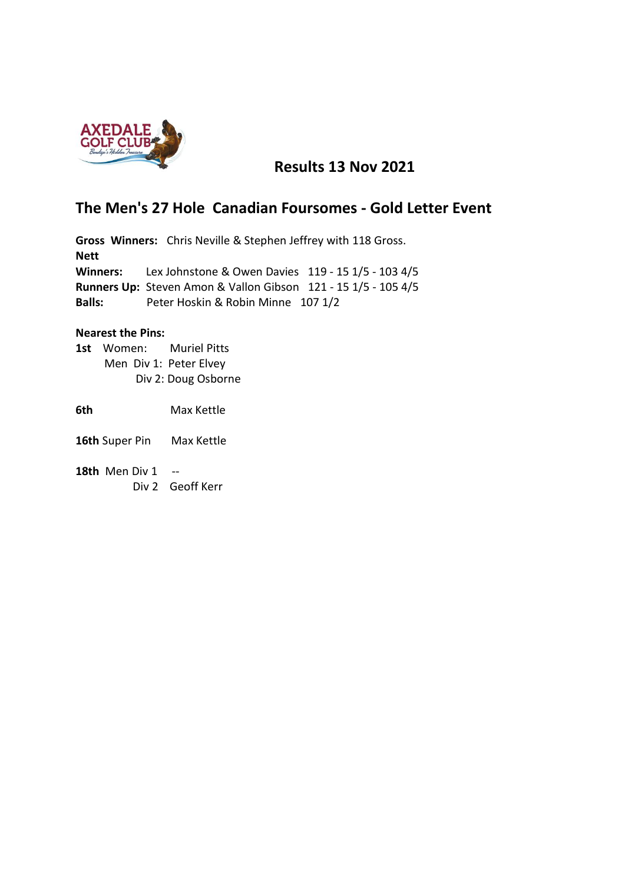

## **Results 13 Nov 2021**

## **The Men's 27 Hole Canadian Foursomes - Gold Letter Event**

**Gross Winners:** Chris Neville & Stephen Jeffrey with 118 Gross. **Nett Winners:** Lex Johnstone & Owen Davies 119 - 15 1/5 - 103 4/5 **Runners Up:** Steven Amon & Vallon Gibson 121 - 15 1/5 - 105 4/5 **Balls:** Peter Hoskin & Robin Minne 107 1/2

## **Nearest the Pins:**

**1st** Women: Muriel Pitts Men Div 1: Peter Elvey Div 2: Doug Osborne

**6th** Max Kettle

- **16th** Super Pin Max Kettle
- **18th** Men Div 1 -- Div 2 Geoff Kerr